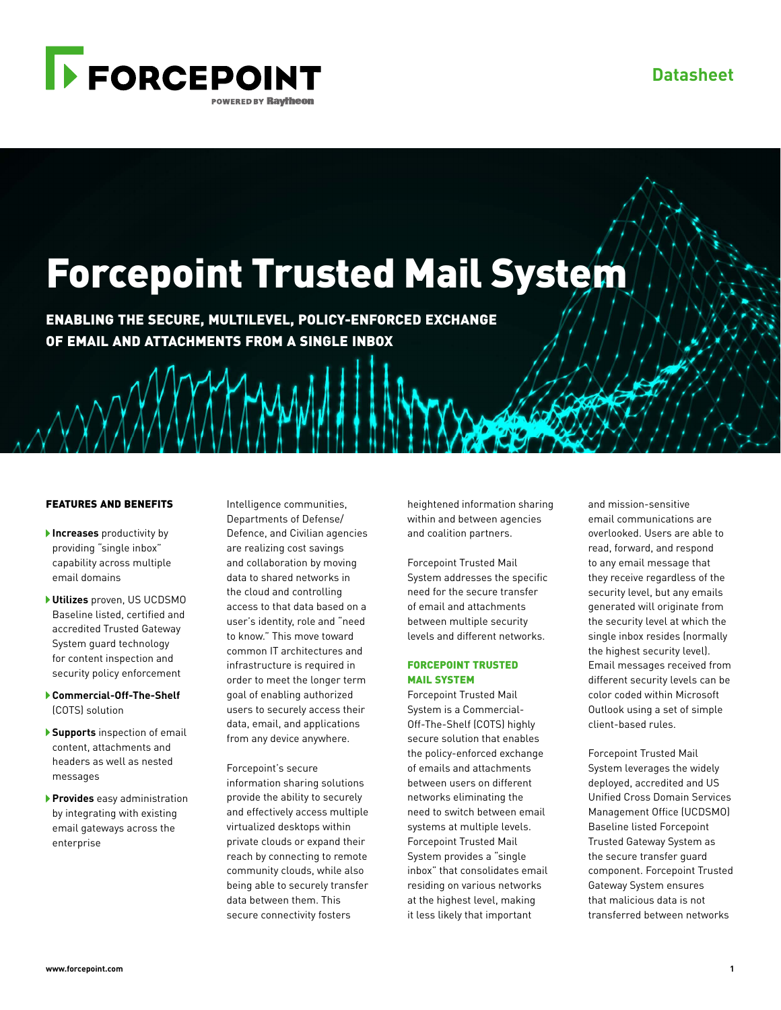

# Forcepoint Trusted Mail System

ENABLING THE SECURE, MULTILEVEL, POLICY-ENFORCED EXCHANGE OF EMAIL AND ATTACHMENTS FROM A SINGLE INBOX

## FEATURES AND BENEFITS

- **Increases** productivity by providing "single inbox" capability across multiple email domains
- **Utilizes** proven, US UCDSMO Baseline listed, certified and accredited Trusted Gateway System guard technology for content inspection and security policy enforcement
- **Commercial-Off-The-Shelf** (COTS) solution
- **Supports** inspection of email content, attachments and headers as well as nested messages
- **Provides** easy administration by integrating with existing email gateways across the enterprise

Intelligence communities, Departments of Defense/ Defence, and Civilian agencies are realizing cost savings and collaboration by moving data to shared networks in the cloud and controlling access to that data based on a user's identity, role and "need to know." This move toward common IT architectures and infrastructure is required in order to meet the longer term goal of enabling authorized users to securely access their data, email, and applications from any device anywhere.

Forcepoint's secure information sharing solutions provide the ability to securely and effectively access multiple virtualized desktops within private clouds or expand their reach by connecting to remote community clouds, while also being able to securely transfer data between them. This secure connectivity fosters

heightened information sharing within and between agencies and coalition partners.

Forcepoint Trusted Mail System addresses the specific need for the secure transfer of email and attachments between multiple security levels and different networks.

### FORCEPOINT TRUSTED MAIL SYSTEM

Forcepoint Trusted Mail System is a Commercial-Off-The-Shelf (COTS) highly secure solution that enables the policy-enforced exchange of emails and attachments between users on different networks eliminating the need to switch between email systems at multiple levels. Forcepoint Trusted Mail System provides a "single inbox" that consolidates email residing on various networks at the highest level, making it less likely that important

and mission-sensitive email communications are overlooked. Users are able to read, forward, and respond to any email message that they receive regardless of the security level, but any emails generated will originate from the security level at which the single inbox resides (normally the highest security level). Email messages received from different security levels can be color coded within Microsoft Outlook using a set of simple client-based rules.

Forcepoint Trusted Mail System leverages the widely deployed, accredited and US Unified Cross Domain Services Management Office (UCDSMO) Baseline listed Forcepoint Trusted Gateway System as the secure transfer guard component. Forcepoint Trusted Gateway System ensures that malicious data is not transferred between networks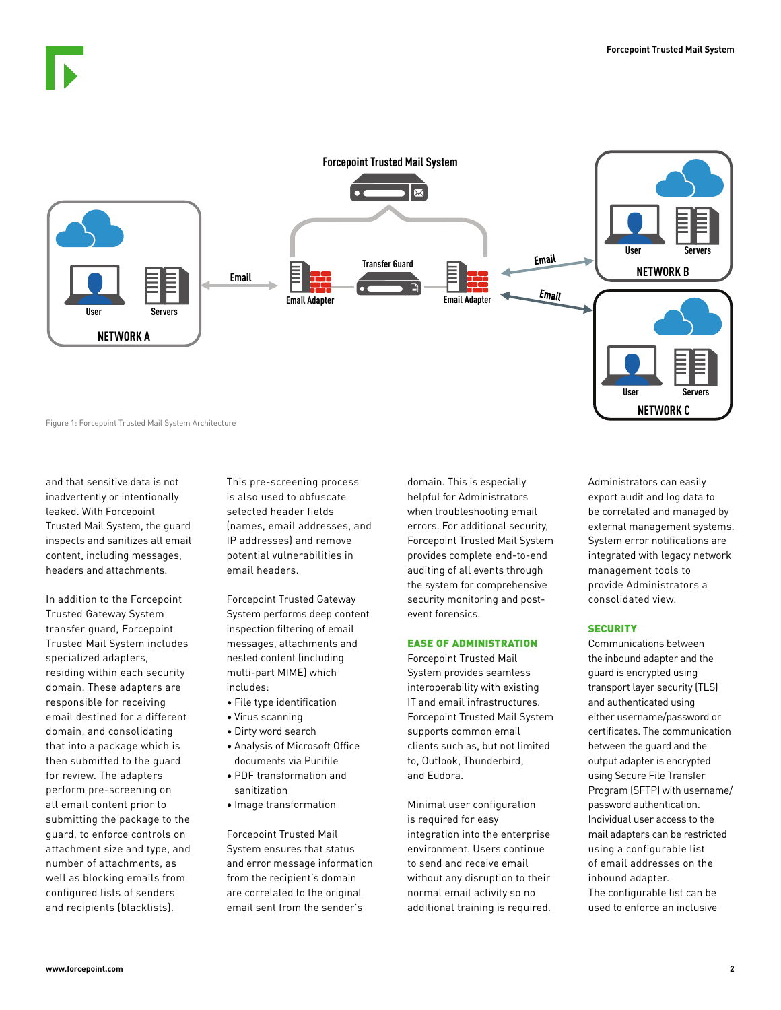

and that sensitive data is not inadvertently or intentionally leaked. With Forcepoint Trusted Mail System, the guard inspects and sanitizes all email content, including messages, headers and attachments.

In addition to the Forcepoint Trusted Gateway System transfer guard, Forcepoint Trusted Mail System includes specialized adapters, residing within each security domain. These adapters are responsible for receiving email destined for a different domain, and consolidating that into a package which is then submitted to the guard for review. The adapters perform pre-screening on all email content prior to submitting the package to the guard, to enforce controls on attachment size and type, and number of attachments, as well as blocking emails from configured lists of senders and recipients (blacklists).

This pre-screening process is also used to obfuscate selected header fields (names, email addresses, and IP addresses) and remove potential vulnerabilities in email headers.

Forcepoint Trusted Gateway System performs deep content inspection filtering of email messages, attachments and nested content (including multi-part MIME) which includes:

- File type identification
- Virus scanning
- Dirty word search
- Analysis of Microsoft Office documents via Purifile
- PDF transformation and sanitization
- Image transformation

Forcepoint Trusted Mail System ensures that status and error message information from the recipient's domain are correlated to the original email sent from the sender's

domain. This is especially helpful for Administrators when troubleshooting email errors. For additional security, Forcepoint Trusted Mail System provides complete end-to-end auditing of all events through the system for comprehensive security monitoring and postevent forensics.

#### EASE OF ADMINISTRATION

Forcepoint Trusted Mail System provides seamless interoperability with existing IT and email infrastructures. Forcepoint Trusted Mail System supports common email clients such as, but not limited to, Outlook, Thunderbird, and Eudora.

Minimal user configuration is required for easy integration into the enterprise environment. Users continue to send and receive email without any disruption to their normal email activity so no additional training is required. Administrators can easily export audit and log data to be correlated and managed by external management systems. System error notifications are integrated with legacy network management tools to provide Administrators a consolidated view.

#### **SECURITY**

Communications between the inbound adapter and the guard is encrypted using transport layer security (TLS) and authenticated using either username/password or certificates. The communication between the guard and the output adapter is encrypted using Secure File Transfer Program (SFTP) with username/ password authentication. Individual user access to the mail adapters can be restricted using a configurable list of email addresses on the inbound adapter. The configurable list can be used to enforce an inclusive